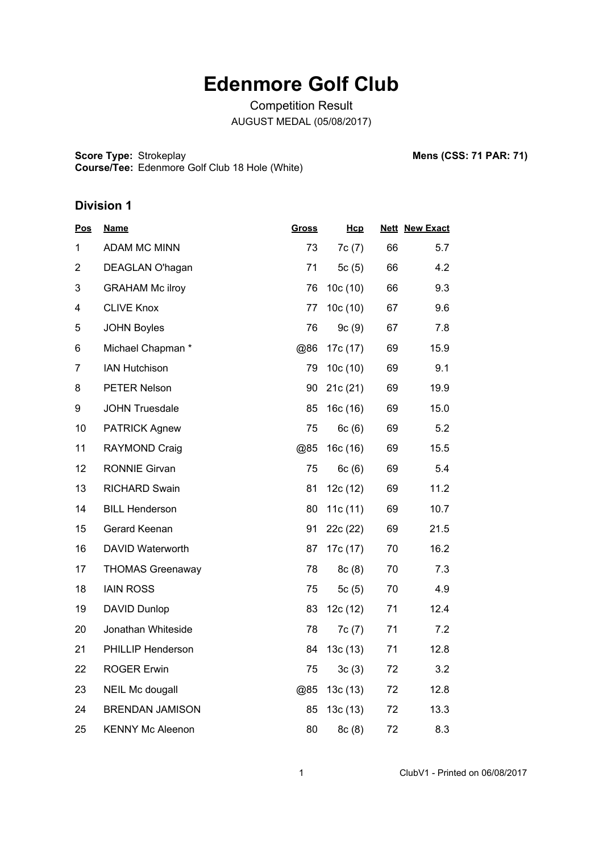# **Edenmore Golf Club**

Competition Result AUGUST MEDAL (05/08/2017)

**Score Type: Course/Tee:** Strokeplay **Mens (CSS: 71 PAR: 71)** Edenmore Golf Club 18 Hole (White)

| <u>Pos</u>     | <b>Name</b>             | <b>Gross</b> | Hcp        |    | <b>Nett New Exact</b> |
|----------------|-------------------------|--------------|------------|----|-----------------------|
| 1              | <b>ADAM MC MINN</b>     | 73           | 7c(7)      | 66 | 5.7                   |
| $\overline{2}$ | DEAGLAN O'hagan         | 71           | 5 $c(5)$   | 66 | 4.2                   |
| 3              | <b>GRAHAM Mc ilroy</b>  | 76           | 10c (10)   | 66 | 9.3                   |
| 4              | <b>CLIVE Knox</b>       | 77           | 10c(10)    | 67 | 9.6                   |
| 5              | <b>JOHN Boyles</b>      | 76           | 9c(9)      | 67 | 7.8                   |
| 6              | Michael Chapman *       | @86          | 17c (17)   | 69 | 15.9                  |
| $\overline{7}$ | <b>IAN Hutchison</b>    | 79           | 10c(10)    | 69 | 9.1                   |
| 8              | PETER Nelson            | 90           | 21c(21)    | 69 | 19.9                  |
| 9              | <b>JOHN Truesdale</b>   | 85           | 16c(16)    | 69 | 15.0                  |
| 10             | <b>PATRICK Agnew</b>    | 75           | 6c(6)      | 69 | 5.2                   |
| 11             | <b>RAYMOND Craig</b>    | @85          | 16c(16)    | 69 | 15.5                  |
| 12             | <b>RONNIE Girvan</b>    | 75           | 6c(6)      | 69 | 5.4                   |
| 13             | <b>RICHARD Swain</b>    | 81           | 12c (12)   | 69 | 11.2                  |
| 14             | <b>BILL Henderson</b>   | 80           | 11c $(11)$ | 69 | 10.7                  |
| 15             | Gerard Keenan           | 91           | 22c (22)   | 69 | 21.5                  |
| 16             | DAVID Waterworth        | 87           | 17c (17)   | 70 | 16.2                  |
| 17             | <b>THOMAS Greenaway</b> | 78           | 8c(8)      | 70 | 7.3                   |
| 18             | <b>IAIN ROSS</b>        | 75           | 5 $c(5)$   | 70 | 4.9                   |
| 19             | DAVID Dunlop            | 83           | 12c (12)   | 71 | 12.4                  |
| 20             | Jonathan Whiteside      | 78           | 7c(7)      | 71 | 7.2                   |
| 21             | PHILLIP Henderson       | 84           | 13c(13)    | 71 | 12.8                  |
| 22             | <b>ROGER Erwin</b>      | 75           | 3c(3)      | 72 | 3.2                   |
| 23             | NEIL Mc dougall         | @85          | 13c(13)    | 72 | 12.8                  |
| 24             | <b>BRENDAN JAMISON</b>  | 85           | 13c(13)    | 72 | 13.3                  |
| 25             | <b>KENNY Mc Aleenon</b> | 80           | 8c(8)      | 72 | 8.3                   |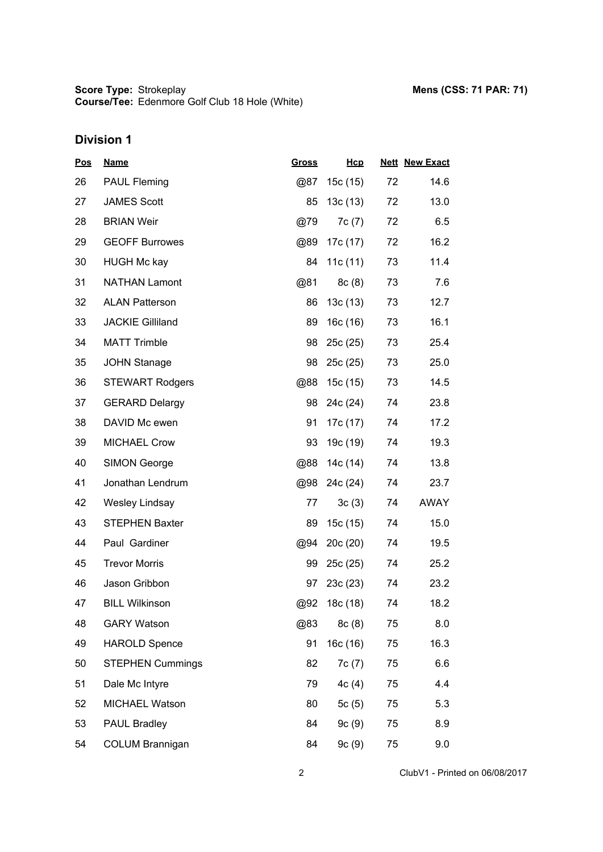| <u>Pos</u> | <b>Name</b>             | <b>Gross</b> | Hcp        |    | <b>Nett New Exact</b> |  |
|------------|-------------------------|--------------|------------|----|-----------------------|--|
| 26         | <b>PAUL Fleming</b>     | @87          | 15c (15)   | 72 | 14.6                  |  |
| 27         | <b>JAMES Scott</b>      | 85           | 13c(13)    | 72 | 13.0                  |  |
| 28         | <b>BRIAN Weir</b>       | @79          | 7c(7)      | 72 | 6.5                   |  |
| 29         | <b>GEOFF Burrowes</b>   | @89          | 17c (17)   | 72 | 16.2                  |  |
| 30         | <b>HUGH Mc kay</b>      | 84           | 11c $(11)$ | 73 | 11.4                  |  |
| 31         | <b>NATHAN Lamont</b>    | @81          | 8c(8)      | 73 | 7.6                   |  |
| 32         | <b>ALAN Patterson</b>   | 86           | 13c(13)    | 73 | 12.7                  |  |
| 33         | <b>JACKIE Gilliland</b> | 89           | 16c (16)   | 73 | 16.1                  |  |
| 34         | <b>MATT Trimble</b>     | 98           | 25c(25)    | 73 | 25.4                  |  |
| 35         | <b>JOHN Stanage</b>     | 98           | 25c(25)    | 73 | 25.0                  |  |
| 36         | <b>STEWART Rodgers</b>  | @88          | 15c (15)   | 73 | 14.5                  |  |
| 37         | <b>GERARD Delargy</b>   | 98           | 24c (24)   | 74 | 23.8                  |  |
| 38         | DAVID Mc ewen           | 91           | 17c (17)   | 74 | 17.2                  |  |
| 39         | <b>MICHAEL Crow</b>     | 93           | 19c (19)   | 74 | 19.3                  |  |
| 40         | <b>SIMON George</b>     | @88          | 14c (14)   | 74 | 13.8                  |  |
| 41         | Jonathan Lendrum        | @98          | 24c (24)   | 74 | 23.7                  |  |
| 42         | Wesley Lindsay          | 77           | 3c(3)      | 74 | AWAY                  |  |
| 43         | <b>STEPHEN Baxter</b>   | 89           | 15c(15)    | 74 | 15.0                  |  |
| 44         | Paul Gardiner           | @94          | 20c(20)    | 74 | 19.5                  |  |
| 45         | <b>Trevor Morris</b>    | 99           | 25c(25)    | 74 | 25.2                  |  |
| 46         | Jason Gribbon           | 97           | 23c(23)    | 74 | 23.2                  |  |
| 47         | <b>BILL Wilkinson</b>   | @92          | 18c (18)   | 74 | 18.2                  |  |
| 48         | <b>GARY Watson</b>      | @83          | 8c(8)      | 75 | 8.0                   |  |
| 49         | <b>HAROLD Spence</b>    | 91           | 16c (16)   | 75 | 16.3                  |  |
| 50         | <b>STEPHEN Cummings</b> | 82           | 7c (7)     | 75 | 6.6                   |  |
| 51         | Dale Mc Intyre          | 79           | 4c(4)      | 75 | 4.4                   |  |
| 52         | MICHAEL Watson          | 80           | 5c(5)      | 75 | 5.3                   |  |
| 53         | <b>PAUL Bradley</b>     | 84           | 9c(9)      | 75 | 8.9                   |  |
| 54         | <b>COLUM Brannigan</b>  | 84           | 9c(9)      | 75 | 9.0                   |  |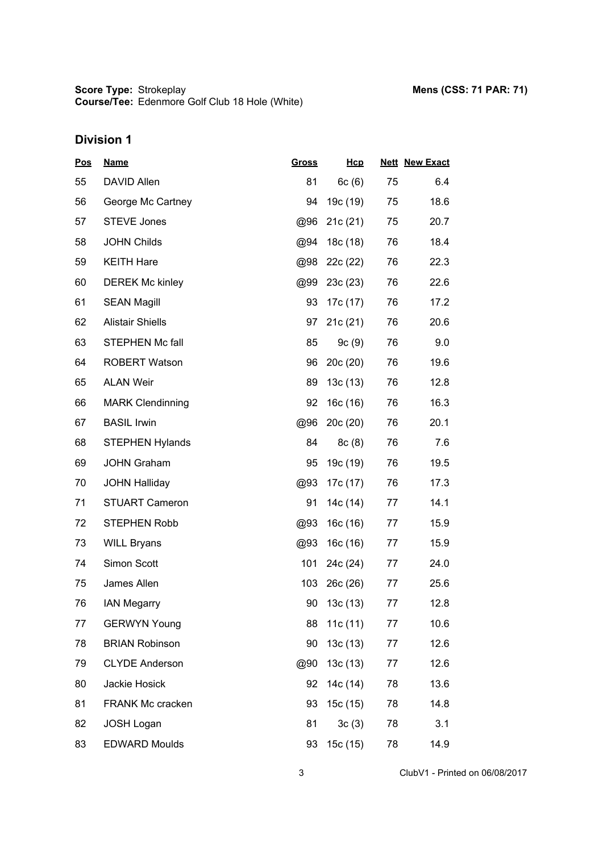| <u>Pos</u> | <b>Name</b>             | <b>Gross</b> | Hcp      |    | <b>Nett New Exact</b> |
|------------|-------------------------|--------------|----------|----|-----------------------|
| 55         | DAVID Allen             | 81           | 6c(6)    | 75 | 6.4                   |
| 56         | George Mc Cartney       | 94           | 19c (19) | 75 | 18.6                  |
| 57         | <b>STEVE Jones</b>      | @96          | 21c(21)  | 75 | 20.7                  |
| 58         | <b>JOHN Childs</b>      | @94          | 18c (18) | 76 | 18.4                  |
| 59         | <b>KEITH Hare</b>       | @98          | 22c (22) | 76 | 22.3                  |
| 60         | <b>DEREK Mc kinley</b>  | @99          | 23c(23)  | 76 | 22.6                  |
| 61         | <b>SEAN Magill</b>      | 93           | 17c (17) | 76 | 17.2                  |
| 62         | <b>Alistair Shiells</b> | 97           | 21c(21)  | 76 | 20.6                  |
| 63         | STEPHEN Mc fall         | 85           | 9c(9)    | 76 | 9.0                   |
| 64         | <b>ROBERT Watson</b>    | 96           | 20c(20)  | 76 | 19.6                  |
| 65         | <b>ALAN Weir</b>        | 89           | 13c(13)  | 76 | 12.8                  |
| 66         | <b>MARK Clendinning</b> | 92           | 16c (16) | 76 | 16.3                  |
| 67         | <b>BASIL Irwin</b>      | @96          | 20c(20)  | 76 | 20.1                  |
| 68         | <b>STEPHEN Hylands</b>  | 84           | 8c(8)    | 76 | 7.6                   |
| 69         | <b>JOHN Graham</b>      | 95           | 19c (19) | 76 | 19.5                  |
| 70         | <b>JOHN Halliday</b>    | @93          | 17c (17) | 76 | 17.3                  |
| 71         | <b>STUART Cameron</b>   | 91           | 14c (14) | 77 | 14.1                  |
| 72         | <b>STEPHEN Robb</b>     | @93          | 16c (16) | 77 | 15.9                  |
| 73         | <b>WILL Bryans</b>      | @93          | 16c (16) | 77 | 15.9                  |
| 74         | Simon Scott             | 101          | 24c (24) | 77 | 24.0                  |
| 75         | James Allen             | 103          | 26c(26)  | 77 | 25.6                  |
| 76         | <b>IAN Megarry</b>      | 90           | 13c(13)  | 77 | 12.8                  |
| 77         | <b>GERWYN Young</b>     | 88           | 11c (11) | 77 | 10.6                  |
| 78         | <b>BRIAN Robinson</b>   | 90           | 13c(13)  | 77 | 12.6                  |
| 79         | <b>CLYDE Anderson</b>   | @90          | 13c(13)  | 77 | 12.6                  |
| 80         | Jackie Hosick           | 92           | 14c (14) | 78 | 13.6                  |
| 81         | <b>FRANK Mc cracken</b> | 93           | 15c (15) | 78 | 14.8                  |
| 82         | <b>JOSH Logan</b>       | 81           | 3c(3)    | 78 | 3.1                   |
| 83         | <b>EDWARD Moulds</b>    | 93           | 15c (15) | 78 | 14.9                  |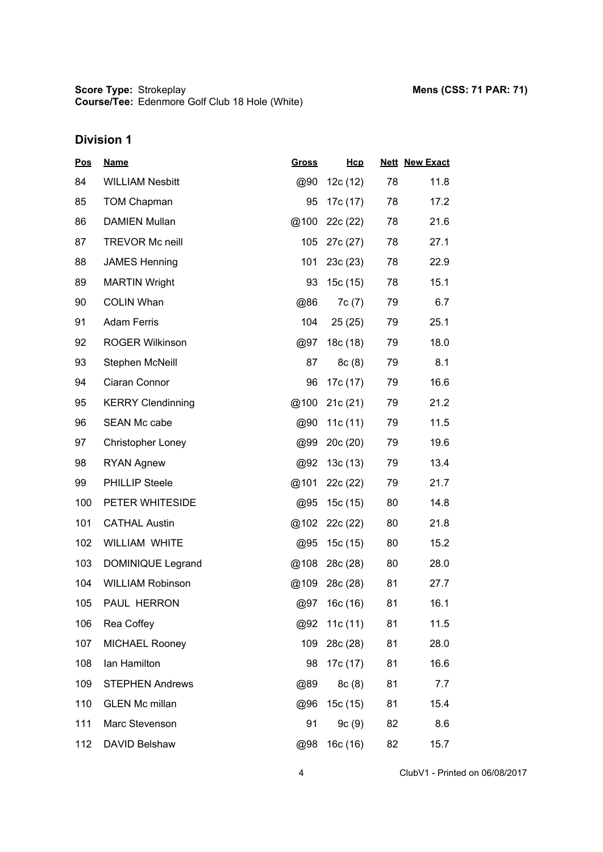| <u>Pos</u> | <b>Name</b>              | <u>Gross</u> | Hcp        |    | <b>Nett New Exact</b> |
|------------|--------------------------|--------------|------------|----|-----------------------|
| 84         | <b>WILLIAM Nesbitt</b>   | @90          | 12c (12)   | 78 | 11.8                  |
| 85         | <b>TOM Chapman</b>       | 95           | 17c (17)   | 78 | 17.2                  |
| 86         | <b>DAMIEN Mullan</b>     | @100         | 22c (22)   | 78 | 21.6                  |
| 87         | <b>TREVOR Mc neill</b>   | 105          | 27c (27)   | 78 | 27.1                  |
| 88         | <b>JAMES Henning</b>     | 101          | 23c(23)    | 78 | 22.9                  |
| 89         | <b>MARTIN Wright</b>     | 93           | 15c(15)    | 78 | 15.1                  |
| 90         | <b>COLIN Whan</b>        | @86          | 7c(7)      | 79 | 6.7                   |
| 91         | <b>Adam Ferris</b>       | 104          | 25(25)     | 79 | 25.1                  |
| 92         | <b>ROGER Wilkinson</b>   | @97          | 18c (18)   | 79 | 18.0                  |
| 93         | Stephen McNeill          | 87           | 8c(8)      | 79 | 8.1                   |
| 94         | Ciaran Connor            | 96           | 17c (17)   | 79 | 16.6                  |
| 95         | <b>KERRY Clendinning</b> | @100         | 21c(21)    | 79 | 21.2                  |
| 96         | SEAN Mc cabe             | @90          | 11c $(11)$ | 79 | 11.5                  |
| 97         | Christopher Loney        | @99          | 20c(20)    | 79 | 19.6                  |
| 98         | <b>RYAN Agnew</b>        | @92          | 13c(13)    | 79 | 13.4                  |
| 99         | <b>PHILLIP Steele</b>    | @101         | 22c (22)   | 79 | 21.7                  |
| 100        | PETER WHITESIDE          | @95          | 15c(15)    | 80 | 14.8                  |
| 101        | <b>CATHAL Austin</b>     | @102         | 22c (22)   | 80 | 21.8                  |
| 102        | <b>WILLIAM WHITE</b>     | @95          | 15c(15)    | 80 | 15.2                  |
| 103        | DOMINIQUE Legrand        | @108         | 28c (28)   | 80 | 28.0                  |
| 104        | <b>WILLIAM Robinson</b>  | @109         | 28c (28)   | 81 | 27.7                  |
| 105        | PAUL HERRON              | @97          | 16c(16)    | 81 | 16.1                  |
| 106        | Rea Coffey               | @92          | 11c(11)    | 81 | 11.5                  |
| 107        | <b>MICHAEL Rooney</b>    | 109          | 28c (28)   | 81 | 28.0                  |
| 108        | Ian Hamilton             | 98           | 17c (17)   | 81 | 16.6                  |
| 109        | <b>STEPHEN Andrews</b>   | @89          | 8c(8)      | 81 | 7.7                   |
| 110        | <b>GLEN Mc millan</b>    | @96          | 15c (15)   | 81 | 15.4                  |
| 111        | Marc Stevenson           | 91           | 9c(9)      | 82 | 8.6                   |
| 112        | DAVID Belshaw            | @98          | 16c (16)   | 82 | 15.7                  |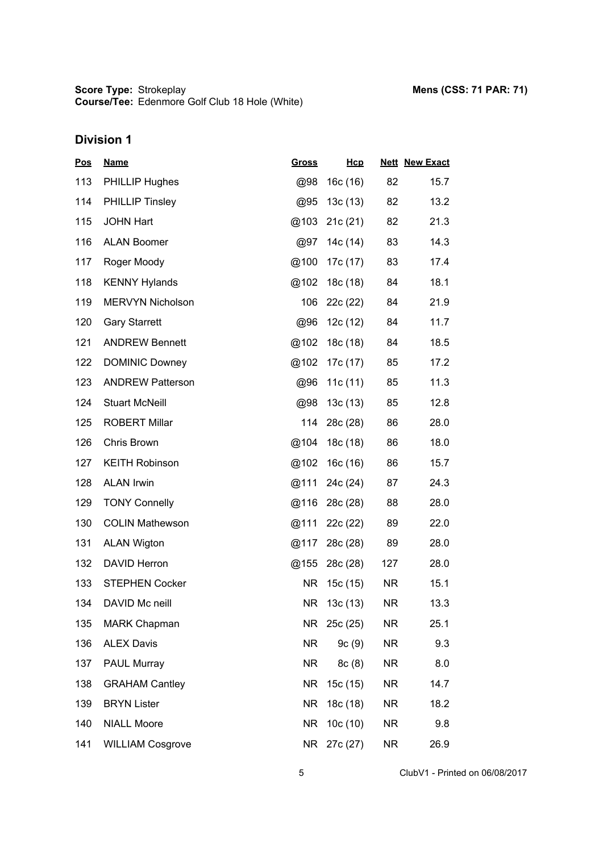| <u>Pos</u> | <b>Name</b>             | <u>Gross</u> | Hcp         |           | <b>Nett New Exact</b> |
|------------|-------------------------|--------------|-------------|-----------|-----------------------|
| 113        | PHILLIP Hughes          | @98          | 16c (16)    | 82        | 15.7                  |
| 114        | <b>PHILLIP Tinsley</b>  | @95          | 13c(13)     | 82        | 13.2                  |
| 115        | <b>JOHN Hart</b>        | @103         | 21c(21)     | 82        | 21.3                  |
| 116        | <b>ALAN Boomer</b>      | @97          | 14c (14)    | 83        | 14.3                  |
| 117        | Roger Moody             | @100         | 17c (17)    | 83        | 17.4                  |
| 118        | <b>KENNY Hylands</b>    | @102         | 18c (18)    | 84        | 18.1                  |
| 119        | <b>MERVYN Nicholson</b> | 106          | 22c (22)    | 84        | 21.9                  |
| 120        | <b>Gary Starrett</b>    | @96          | 12c (12)    | 84        | 11.7                  |
| 121        | <b>ANDREW Bennett</b>   | @102         | 18c (18)    | 84        | 18.5                  |
| 122        | <b>DOMINIC Downey</b>   | @102         | 17c (17)    | 85        | 17.2                  |
| 123        | <b>ANDREW Patterson</b> | @96          | 11c $(11)$  | 85        | 11.3                  |
| 124        | <b>Stuart McNeill</b>   | @98          | 13c(13)     | 85        | 12.8                  |
| 125        | <b>ROBERT Millar</b>    | 114          | 28c (28)    | 86        | 28.0                  |
| 126        | Chris Brown             | @104         | 18c (18)    | 86        | 18.0                  |
| 127        | <b>KEITH Robinson</b>   | @102         | 16c(16)     | 86        | 15.7                  |
| 128        | <b>ALAN Irwin</b>       | @111         | 24c (24)    | 87        | 24.3                  |
| 129        | <b>TONY Connelly</b>    | @116         | 28c (28)    | 88        | 28.0                  |
| 130        | <b>COLIN Mathewson</b>  | @111         | 22c (22)    | 89        | 22.0                  |
| 131        | <b>ALAN Wigton</b>      | @117         | 28c (28)    | 89        | 28.0                  |
| 132        | <b>DAVID Herron</b>     | @155         | 28c (28)    | 127       | 28.0                  |
| 133        | <b>STEPHEN Cocker</b>   | <b>NR</b>    | 15c(15)     | NR.       | 15.1                  |
| 134        | DAVID Mc neill          | NR.          | 13c(13)     | NR.       | 13.3                  |
| 135        | <b>MARK Chapman</b>     |              | NR 25c (25) | NR.       | 25.1                  |
| 136        | <b>ALEX Davis</b>       | NR           | 9c(9)       | NR        | 9.3                   |
| 137        | PAUL Murray             | <b>NR</b>    | 8c(8)       | NR.       | 8.0                   |
| 138        | <b>GRAHAM Cantley</b>   | <b>NR</b>    | 15c(15)     | NR.       | 14.7                  |
| 139        | <b>BRYN Lister</b>      | <b>NR</b>    | 18c (18)    | NR        | 18.2                  |
| 140        | <b>NIALL Moore</b>      | <b>NR</b>    | 10c(10)     | NR.       | 9.8                   |
| 141        | <b>WILLIAM Cosgrove</b> | <b>NR</b>    | 27c (27)    | <b>NR</b> | 26.9                  |